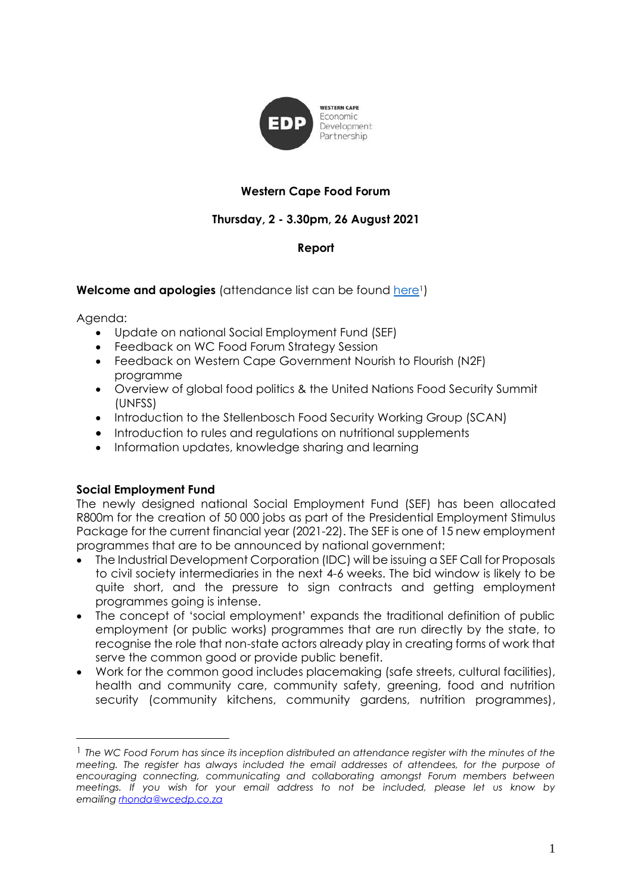

# **Western Cape Food Forum**

# **Thursday, 2 - 3.30pm, 26 August 2021**

## **Report**

## **Welcome and apologies** (attendance list can be found [here](https://drive.google.com/file/d/1RGgClIzwlrAk71EJqOB9i6-a5jEWqypu/view?usp=sharing)<sup>1</sup>)

Agenda:

- Update on national Social Employment Fund (SEF)
- Feedback on WC Food Forum Strategy Session
- Feedback on Western Cape Government Nourish to Flourish (N2F) programme
- Overview of global food politics & the United Nations Food Security Summit (UNFSS)
- Introduction to the Stellenbosch Food Security Working Group (SCAN)
- Introduction to rules and regulations on nutritional supplements
- Information updates, knowledge sharing and learning

### **Social Employment Fund**

The newly designed national Social Employment Fund (SEF) has been allocated R800m for the creation of 50 000 jobs as part of the Presidential Employment Stimulus Package for the current financial year (2021-22). The SEF is one of 15 new employment programmes that are to be announced by national government:

- The Industrial Development Corporation (IDC) will be issuing a SEF Call for Proposals to civil society intermediaries in the next 4-6 weeks. The bid window is likely to be quite short, and the pressure to sign contracts and getting employment programmes going is intense.
- The concept of 'social employment' expands the traditional definition of public employment (or public works) programmes that are run directly by the state, to recognise the role that non-state actors already play in creating forms of work that serve the common good or provide public benefit.
- Work for the common good includes placemaking (safe streets, cultural facilities), health and community care, community safety, greening, food and nutrition security (community kitchens, community gardens, nutrition programmes),

<sup>1</sup> *The WC Food Forum has since its inception distributed an attendance register with the minutes of the meeting. The register has always included the email addresses of attendees, for the purpose of encouraging connecting, communicating and collaborating amongst Forum members between meetings. If you wish for your email address to not be included, please let us know by emailing [rhonda@wcedp.co.za](mailto:rhonda@wcedp.co.za)*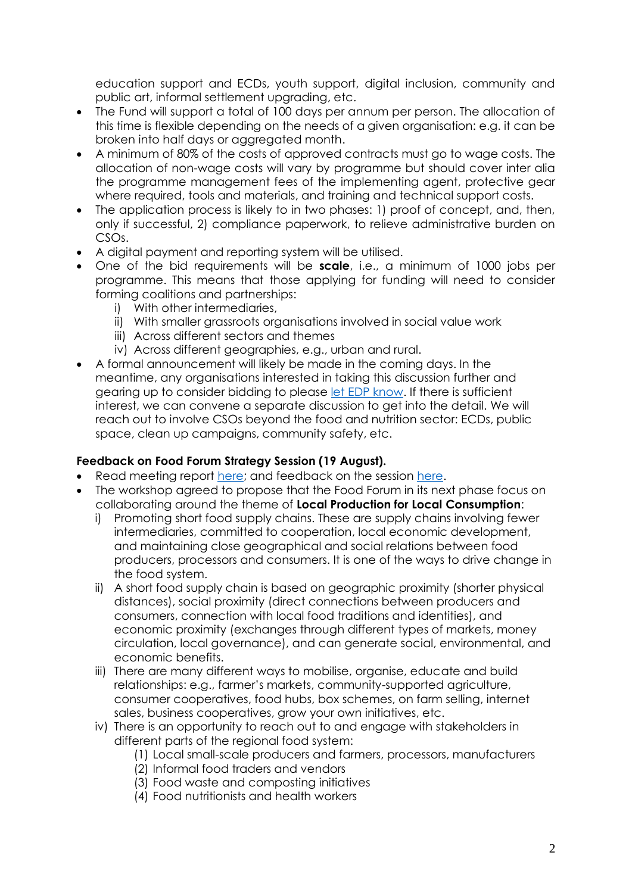education support and ECDs, youth support, digital inclusion, community and public art, informal settlement upgrading, etc.

- The Fund will support a total of 100 days per annum per person. The allocation of this time is flexible depending on the needs of a given organisation: e.g. it can be broken into half days or aggregated month.
- A minimum of 80% of the costs of approved contracts must go to wage costs. The allocation of non-wage costs will vary by programme but should cover inter alia the programme management fees of the implementing agent, protective gear where required, tools and materials, and training and technical support costs.
- The application process is likely to in two phases: 1) proof of concept, and, then, only if successful, 2) compliance paperwork, to relieve administrative burden on CSOs.
- A digital payment and reporting system will be utilised.
- One of the bid requirements will be **scale**, i.e., a minimum of 1000 jobs per programme. This means that those applying for funding will need to consider forming coalitions and partnerships:
	- i) With other intermediaries,
	- ii) With smaller grassroots organisations involved in social value work
	- iii) Across different sectors and themes
	- iv) Across different geographies, e.g., urban and rural.
- A formal announcement will likely be made in the coming days. In the meantime, any organisations interested in taking this discussion further and gearing up to consider bidding to please [let EDP](mailto:rhonda@wcedp.co.za?subject=Interested%20in%20the%20SEF%20discussion) know. If there is sufficient interest, we can convene a separate discussion to get into the detail. We will reach out to involve CSOs beyond the food and nutrition sector: ECDs, public space, clean up campaigns, community safety, etc.

### **Feedback on Food Forum Strategy Session (19 August).**

- Read meeting report [here;](/Users/marcelaguerrerocasas/OneDrive%20-%20WCEDP/Food%20Programme/Food%20Forum/here) and feedback on the session [here.](https://drive.google.com/file/d/1XMqYLFe5O-vhN9uRlIOZIRf4rpLMgouR/view?usp=sharing)
- The workshop agreed to propose that the Food Forum in its next phase focus on collaborating around the theme of **Local Production for Local Consumption**:
	- i) Promoting short food supply chains. These are supply chains involving fewer intermediaries, committed to cooperation, local economic development, and maintaining close geographical and social relations between food producers, processors and consumers. It is one of the ways to drive change in the food system.
	- ii) A short food supply chain is based on geographic proximity (shorter physical distances), social proximity (direct connections between producers and consumers, connection with local food traditions and identities), and economic proximity (exchanges through different types of markets, money circulation, local governance), and can generate social, environmental, and economic benefits.
	- iii) There are many different ways to mobilise, organise, educate and build relationships: e.g., farmer's markets, community-supported agriculture, consumer cooperatives, food hubs, box schemes, on farm selling, internet sales, business cooperatives, grow your own initiatives, etc.
	- iv) There is an opportunity to reach out to and engage with stakeholders in different parts of the regional food system:
		- (1) Local small-scale producers and farmers, processors, manufacturers
		- (2) Informal food traders and vendors
		- (3) Food waste and composting initiatives
		- (4) Food nutritionists and health workers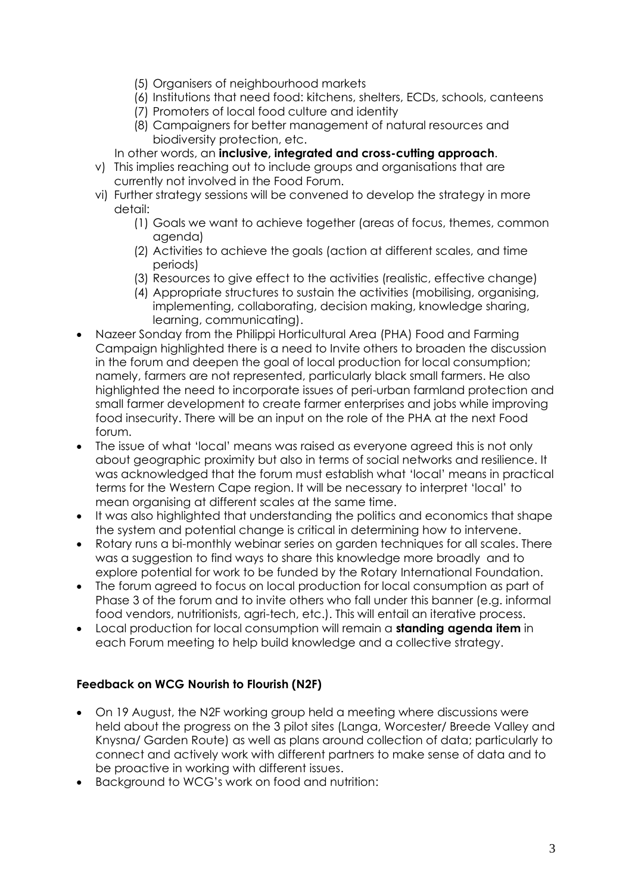- (5) Organisers of neighbourhood markets
- (6) Institutions that need food: kitchens, shelters, ECDs, schools, canteens
- (7) Promoters of local food culture and identity
- (8) Campaigners for better management of natural resources and biodiversity protection, etc.
- In other words, an **inclusive, integrated and cross-cutting approach**.
- v) This implies reaching out to include groups and organisations that are currently not involved in the Food Forum.
- vi) Further strategy sessions will be convened to develop the strategy in more detail:
	- (1) Goals we want to achieve together (areas of focus, themes, common agenda)
	- (2) Activities to achieve the goals (action at different scales, and time periods)
	- (3) Resources to give effect to the activities (realistic, effective change)
	- (4) Appropriate structures to sustain the activities (mobilising, organising, implementing, collaborating, decision making, knowledge sharing, learning, communicating).
- Nazeer Sonday from the Philippi Horticultural Area (PHA) Food and Farming Campaign highlighted there is a need to Invite others to broaden the discussion in the forum and deepen the goal of local production for local consumption; namely, farmers are not represented, particularly black small farmers. He also highlighted the need to incorporate issues of peri-urban farmland protection and small farmer development to create farmer enterprises and jobs while improving food insecurity. There will be an input on the role of the PHA at the next Food forum.
- The issue of what 'local' means was raised as everyone agreed this is not only about geographic proximity but also in terms of social networks and resilience. It was acknowledged that the forum must establish what 'local' means in practical terms for the Western Cape region. It will be necessary to interpret 'local' to mean organising at different scales at the same time.
- It was also highlighted that understanding the politics and economics that shape the system and potential change is critical in determining how to intervene.
- Rotary runs a bi-monthly webinar series on garden techniques for all scales. There was a suggestion to find ways to share this knowledge more broadly and to explore potential for work to be funded by the Rotary International Foundation.
- The forum agreed to focus on local production for local consumption as part of Phase 3 of the forum and to invite others who fall under this banner (e.g. informal food vendors, nutritionists, agri-tech, etc.). This will entail an iterative process.
- Local production for local consumption will remain a **standing agenda item** in each Forum meeting to help build knowledge and a collective strategy.

## **Feedback on WCG Nourish to Flourish (N2F)**

- On 19 August, the N2F working group held a meeting where discussions were held about the progress on the 3 pilot sites (Langa, Worcester/ Breede Valley and Knysna/ Garden Route) as well as plans around collection of data; particularly to connect and actively work with different partners to make sense of data and to be proactive in working with different issues.
- Background to WCG's work on food and nutrition: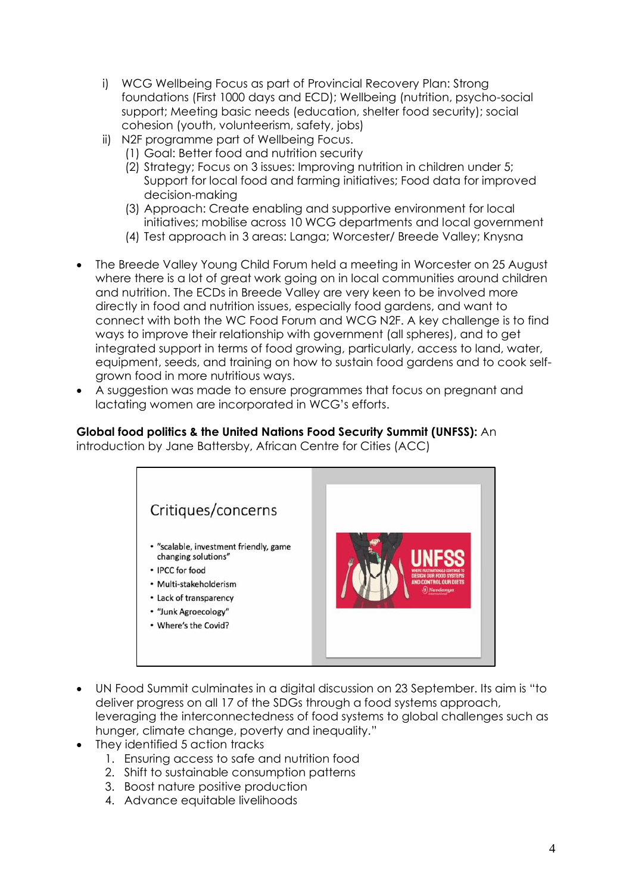- i) WCG Wellbeing Focus as part of Provincial Recovery Plan: Strong foundations (First 1000 days and ECD); Wellbeing (nutrition, psycho-social support; Meeting basic needs (education, shelter food security); social cohesion (youth, volunteerism, safety, jobs)
- ii) N2F programme part of Wellbeing Focus.
	- (1) Goal: Better food and nutrition security
	- (2) Strategy; Focus on 3 issues: Improving nutrition in children under 5; Support for local food and farming initiatives; Food data for improved decision-making
	- (3) Approach: Create enabling and supportive environment for local initiatives; mobilise across 10 WCG departments and local government
	- (4) Test approach in 3 areas: Langa; Worcester/ Breede Valley; Knysna
- The Breede Valley Young Child Forum held a meeting in Worcester on 25 August where there is a lot of great work going on in local communities around children and nutrition. The ECDs in Breede Valley are very keen to be involved more directly in food and nutrition issues, especially food gardens, and want to connect with both the WC Food Forum and WCG N2F. A key challenge is to find ways to improve their relationship with government (all spheres), and to get integrated support in terms of food growing, particularly, access to land, water, equipment, seeds, and training on how to sustain food gardens and to cook selfgrown food in more nutritious ways.
- A suggestion was made to ensure programmes that focus on pregnant and lactating women are incorporated in WCG's efforts.

# **Global food politics & the United Nations Food Security Summit (UNFSS):** An

introduction by Jane Battersby, African Centre for Cities (ACC)



- UN Food Summit culminates in a digital discussion on 23 September. Its aim is "to deliver progress on all 17 of the SDGs through a food systems approach, leveraging the interconnectedness of food systems to global challenges such as hunger, climate change, poverty and inequality."
- They identified 5 action tracks
	- 1. Ensuring access to safe and nutrition food
	- 2. Shift to sustainable consumption patterns
	- 3. Boost nature positive production
	- 4. Advance equitable livelihoods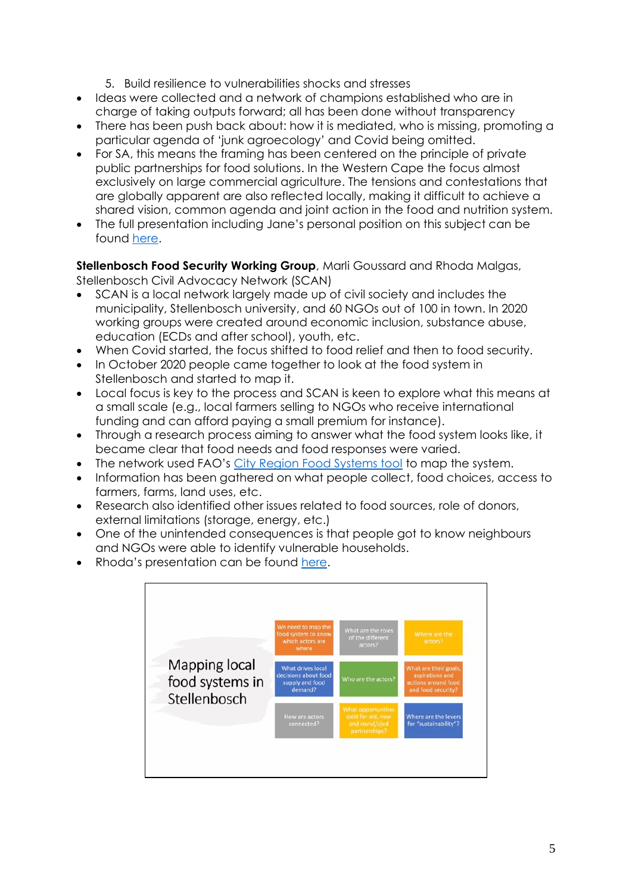- 5. Build resilience to vulnerabilities shocks and stresses
- Ideas were collected and a network of champions established who are in charge of taking outputs forward; all has been done without transparency
- There has been push back about: how it is mediated, who is missing, promoting a particular agenda of 'junk agroecology' and Covid being omitted.
- For SA, this means the framing has been centered on the principle of private public partnerships for food solutions. In the Western Cape the focus almost exclusively on large commercial agriculture. The tensions and contestations that are globally apparent are also reflected locally, making it difficult to achieve a shared vision, common agenda and joint action in the food and nutrition system.
- The full presentation including Jane's personal position on this subject can be found [here.](https://docs.google.com/presentation/d/1MxQ0hzc6bf6STwtmIqL8PJFgzQFJo6Kw/edit?usp=sharing&ouid=114253026864127630125&rtpof=true&sd=true)

**Stellenbosch Food Security Working Group**, Marli Goussard and Rhoda Malgas, Stellenbosch Civil Advocacy Network (SCAN)

- SCAN is a local network largely made up of civil society and includes the municipality, Stellenbosch university, and 60 NGOs out of 100 in town. In 2020 working groups were created around economic inclusion, substance abuse, education (ECDs and after school), youth, etc.
- When Covid started, the focus shifted to food relief and then to food security.
- In October 2020 people came together to look at the food system in Stellenbosch and started to map it.
- Local focus is key to the process and SCAN is keen to explore what this means at a small scale (e.g., local farmers selling to NGOs who receive international funding and can afford paying a small premium for instance).
- Through a research process aiming to answer what the food system looks like, it became clear that food needs and food responses were varied.
- The network used FAO's [City Region Food Systems tool](http://www.fao.org/3/i4789e/i4789e.pdf) to map the system.
- Information has been gathered on what people collect, food choices, access to farmers, farms, land uses, etc.
- Research also identified other issues related to food sources, role of donors, external limitations (storage, energy, etc.)
- One of the unintended consequences is that people got to know neighbours and NGOs were able to identify vulnerable households.
- Rhoda's presentation can be found [here.](https://drive.google.com/file/d/1rykUeHRq-Ef3503035VfyfAqTsSARxJP/view?usp=sharing)

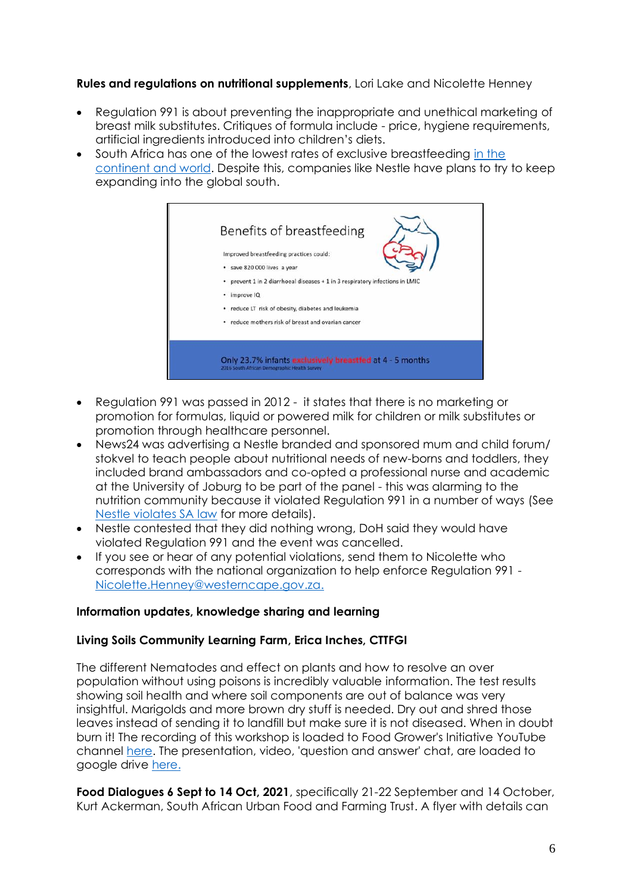### **Rules and regulations on nutritional supplements**, Lori Lake and Nicolette Henney

- Regulation 991 is about preventing the inappropriate and unethical marketing of breast milk substitutes. Critiques of formula include - price, hygiene requirements, artificial ingredients introduced into children's diets.
- South Africa has one of the lowest rates of exclusive breastfeeding [in the](https://theconversation.com/why-many-south-african-mothers-give-up-breastfeeding-their-babies-so-soon-145557)  [continent and world.](https://theconversation.com/why-many-south-african-mothers-give-up-breastfeeding-their-babies-so-soon-145557) Despite this, companies like Nestle have plans to try to keep expanding into the global south.



- Regulation 991 was passed in 2012 it states that there is no marketing or promotion for formulas, liquid or powered milk for children or milk substitutes or promotion through healthcare personnel.
- News24 was advertising a Nestle branded and sponsored mum and child forum/ stokvel to teach people about nutritional needs of new-borns and toddlers, they included brand ambassadors and co-opted a professional nurse and academic at the University of Joburg to be part of the panel - this was alarming to the nutrition community because it violated Regulation 991 in a number of ways (See [Nestle violates SA law](https://www.dailymaverick.co.za/article/2021-08-12-nutrition-activists-urge-nestle-to-cancel-free-stokvel-mom-and-child-forum-saying-it-violates-sa-regulations/) for more details).
- Nestle contested that they did nothing wrong, DoH said they would have violated Regulation 991 and the event was cancelled.
- If you see or hear of any potential violations, send them to Nicolette who corresponds with the national organization to help enforce Regulation 991 - [Nicolette.Henney@westerncape.gov.za.](mailto:Nicolette.Henney@westerncape.gov.za)

### **Information updates, knowledge sharing and learning**

### **Living Soils Community Learning Farm, Erica Inches, CTTFGI**

The different Nematodes and effect on plants and how to resolve an over population without using poisons is incredibly valuable information. The test results showing soil health and where soil components are out of balance was very insightful. Marigolds and more brown dry stuff is needed. Dry out and shred those leaves instead of sending it to landfill but make sure it is not diseased. When in doubt burn it! The recording of this workshop is loaded to Food Grower's Initiative YouTube channel [here.](https://youtu.be/IJ06r-7zUz8) The presentation, video, 'question and answer' chat, are loaded to google drive [here.](https://drive.google.com/drive/folders/1oNYrSfRCaer4NCGpAMwZTZFzQZ4UY3IB?usp=sharing)

**Food Dialogues 6 Sept to 14 Oct, 2021**, specifically 21-22 September and 14 October, Kurt Ackerman, South African Urban Food and Farming Trust. A flyer with details can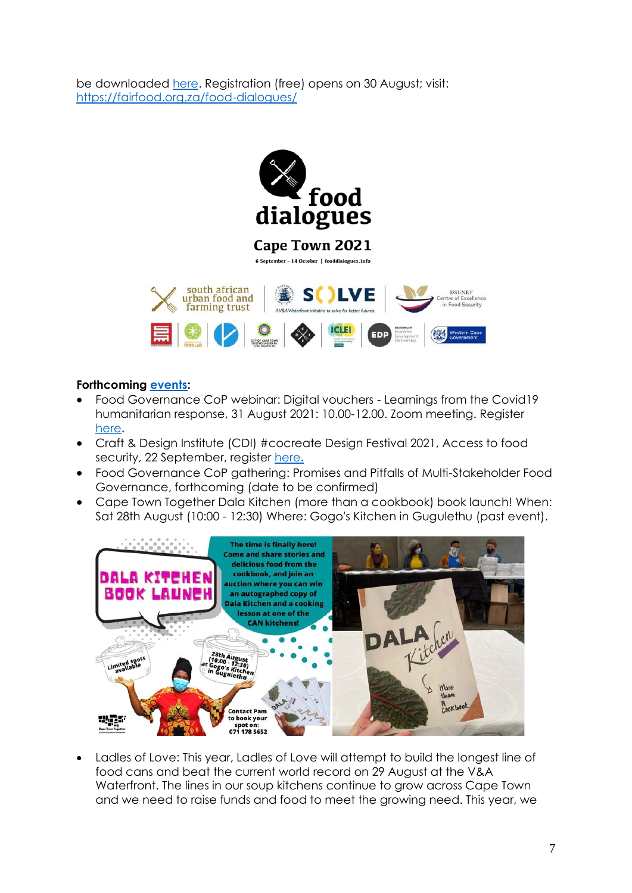be downloaded [here.](https://drive.google.com/file/d/1PkTL8PsfFJNekgg2N5Wv9UB1rjwpUUXT/view?usp=sharing) Registration (free) opens on 30 August; visit: <https://fairfood.org.za/food-dialogues/>



#### **Forthcoming [events:](https://docs.google.com/document/d/1-6H6X74neM5ddGisqZpO0xPqnyTkyR9xL8OqkIDQQ4o/edit)**

- Food Governance CoP webinar: Digital vouchers Learnings from the Covid19 humanitarian response, 31 August 2021: 10.00-12.00. Zoom meeting. Register [here](https://plaas.us18.list-manage.com/track/click?u=9501da252e3844f536cf67b8e&id=9ca554f71e&e=4e6f5b773d)**.**
- Craft & Design Institute (CDI) #cocreate Design Festival 2021, Access to food security, 22 September, register [here](https://www.quicket.co.za/events/147953-cocreatedesign-festival-2021/#/)**.**
- Food Governance CoP gathering: Promises and Pitfalls of Multi-Stakeholder Food Governance, forthcoming (date to be confirmed)
- Cape Town Together Dala Kitchen (more than a cookbook) book launch! When: Sat 28th August (10:00 - 12:30) Where: Gogo's Kitchen in Gugulethu (past event).



• Ladles of Love: This year, Ladles of Love will attempt to build the longest line of food cans and beat the current world record on 29 August at the V&A Waterfront. The lines in our soup kitchens continue to grow across Cape Town and we need to raise funds and food to meet the growing need. This year, we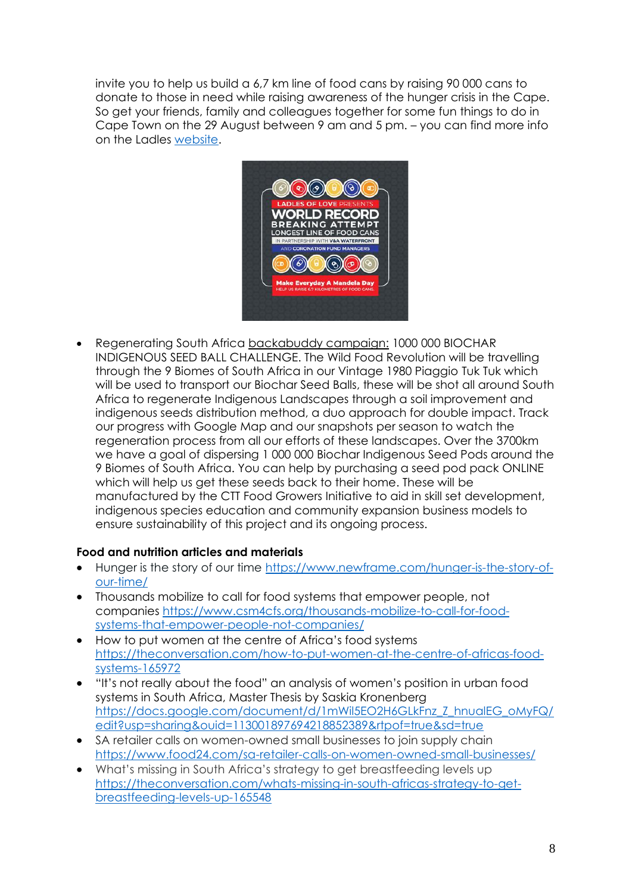invite you to help us build a 6,7 km line of food cans by raising 90 000 cans to donate to those in need while raising awareness of the hunger crisis in the Cape. So get your friends, family and colleggues together for some fun things to do in Cape Town on the 29 August between 9 am and 5 pm. – you can find more info on the Ladles [website.](https://ladlesoflove.org.za/)



• Regenerating South Africa [backabuddy campaign:](https://www.backabuddy.co.za/champion/project/gregory-henderson) 1000 000 BIOCHAR INDIGENOUS SEED BALL CHALLENGE. The Wild Food Revolution will be travelling through the 9 Biomes of South Africa in our Vintage 1980 Piaggio Tuk Tuk which will be used to transport our Biochar Seed Balls, these will be shot all around South Africa to regenerate Indigenous Landscapes through a soil improvement and indigenous seeds distribution method, a duo approach for double impact. Track our progress with Google Map and our snapshots per season to watch the regeneration process from all our efforts of these landscapes. Over the 3700km we have a goal of dispersing 1 000 000 Biochar Indigenous Seed Pods around the 9 Biomes of South Africa. You can help by purchasing a seed pod pack ONLINE which will help us get these seeds back to their home. These will be manufactured by the CTT Food Growers Initiative to aid in skill set development, indigenous species education and community expansion business models to ensure sustainability of this project and its ongoing process.

## **Food and nutrition articles and materials**

- Hunger is the story of our time [https://www.newframe.com/hunger-is-the-story-of](https://www.newframe.com/hunger-is-the-story-of-our-time/)[our-time/](https://www.newframe.com/hunger-is-the-story-of-our-time/)
- Thousands mobilize to call for food systems that empower people, not companies [https://www.csm4cfs.org/thousands-mobilize-to-call-for-food](https://www.csm4cfs.org/thousands-mobilize-to-call-for-food-systems-that-empower-people-not-companies/)[systems-that-empower-people-not-companies/](https://www.csm4cfs.org/thousands-mobilize-to-call-for-food-systems-that-empower-people-not-companies/)
- How to put women at the centre of Africa's food systems [https://theconversation.com/how-to-put-women-at-the-centre-of-africas-food](https://theconversation.com/how-to-put-women-at-the-centre-of-africas-food-systems-165972)[systems-165972](https://theconversation.com/how-to-put-women-at-the-centre-of-africas-food-systems-165972)
- "It's not really about the food" an analysis of women's position in urban food systems in South Africa, Master Thesis by Saskia Kronenberg [https://docs.google.com/document/d/1mWil5EO2H6GLkFnz\\_Z\\_hnualEG\\_oMyFQ/](https://docs.google.com/document/d/1mWil5EO2H6GLkFnz_Z_hnualEG_oMyFQ/edit?usp=sharing&ouid=113001897694218852389&rtpof=true&sd=true) [edit?usp=sharing&ouid=113001897694218852389&rtpof=true&sd=true](https://docs.google.com/document/d/1mWil5EO2H6GLkFnz_Z_hnualEG_oMyFQ/edit?usp=sharing&ouid=113001897694218852389&rtpof=true&sd=true)
- SA retailer calls on women-owned small businesses to join supply chain <https://www.food24.com/sa-retailer-calls-on-women-owned-small-businesses/>
- What's missing in South Africa's strategy to get breastfeeding levels up [https://theconversation.com/whats-missing-in-south-africas-strategy-to-get](https://theconversation.com/whats-missing-in-south-africas-strategy-to-get-breastfeeding-levels-up-165548)[breastfeeding-levels-up-165548](https://theconversation.com/whats-missing-in-south-africas-strategy-to-get-breastfeeding-levels-up-165548)